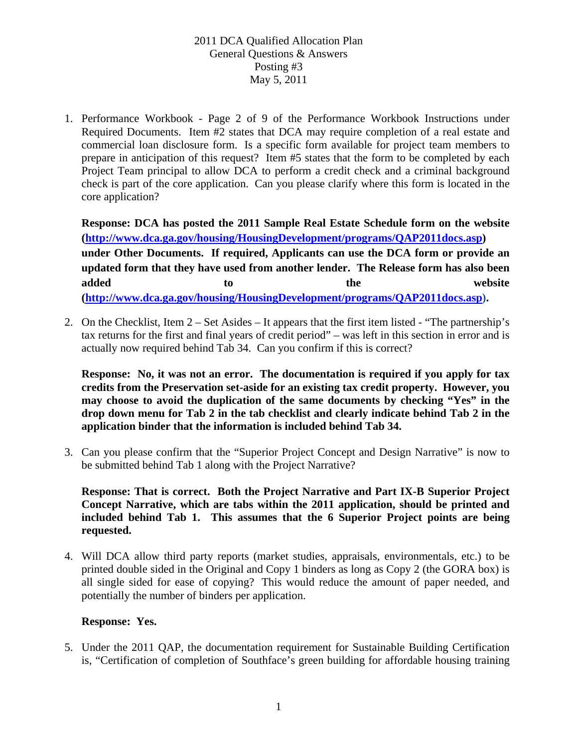1. Performance Workbook - Page 2 of 9 of the Performance Workbook Instructions under Required Documents. Item #2 states that DCA may require completion of a real estate and commercial loan disclosure form. Is a specific form available for project team members to prepare in anticipation of this request? Item #5 states that the form to be completed by each Project Team principal to allow DCA to perform a credit check and a criminal background check is part of the core application. Can you please clarify where this form is located in the core application?

**Response: DCA has posted the 2011 Sample Real Estate Schedule form on the website (http://www.dca.ga.gov/housing/HousingDevelopment/programs/QAP2011docs.asp) under Other Documents. If required, Applicants can use the DCA form or provide an updated form that they have used from another lender. The Release form has also been**  added to to the website **(http://www.dca.ga.gov/housing/HousingDevelopment/programs/QAP2011docs.asp).** 

2. On the Checklist, Item 2 – Set Asides – It appears that the first item listed - "The partnership's tax returns for the first and final years of credit period" – was left in this section in error and is actually now required behind Tab 34. Can you confirm if this is correct?

**Response: No, it was not an error. The documentation is required if you apply for tax credits from the Preservation set-aside for an existing tax credit property. However, you may choose to avoid the duplication of the same documents by checking "Yes" in the drop down menu for Tab 2 in the tab checklist and clearly indicate behind Tab 2 in the application binder that the information is included behind Tab 34.** 

3. Can you please confirm that the "Superior Project Concept and Design Narrative" is now to be submitted behind Tab 1 along with the Project Narrative?

**Response: That is correct. Both the Project Narrative and Part IX-B Superior Project Concept Narrative, which are tabs within the 2011 application, should be printed and included behind Tab 1. This assumes that the 6 Superior Project points are being requested.** 

4. Will DCA allow third party reports (market studies, appraisals, environmentals, etc.) to be printed double sided in the Original and Copy 1 binders as long as Copy 2 (the GORA box) is all single sided for ease of copying? This would reduce the amount of paper needed, and potentially the number of binders per application.

#### **Response: Yes.**

5. Under the 2011 QAP, the documentation requirement for Sustainable Building Certification is, "Certification of completion of Southface's green building for affordable housing training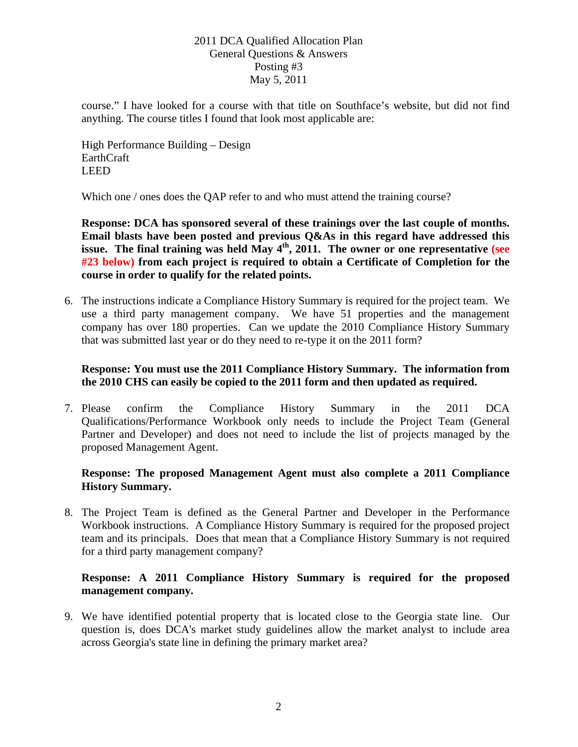course." I have looked for a course with that title on Southface's website, but did not find anything. The course titles I found that look most applicable are:

High Performance Building – Design **EarthCraft** LEED

Which one / ones does the QAP refer to and who must attend the training course?

**Response: DCA has sponsored several of these trainings over the last couple of months. Email blasts have been posted and previous Q&As in this regard have addressed this**  issue. The final training was held May  $4<sup>th</sup>$ , 2011. The owner or one representative (see **#23 below) from each project is required to obtain a Certificate of Completion for the course in order to qualify for the related points.** 

6. The instructions indicate a Compliance History Summary is required for the project team. We use a third party management company. We have 51 properties and the management company has over 180 properties. Can we update the 2010 Compliance History Summary that was submitted last year or do they need to re-type it on the 2011 form?

# **Response: You must use the 2011 Compliance History Summary. The information from the 2010 CHS can easily be copied to the 2011 form and then updated as required.**

7. Please confirm the Compliance History Summary in the 2011 DCA Qualifications/Performance Workbook only needs to include the Project Team (General Partner and Developer) and does not need to include the list of projects managed by the proposed Management Agent.

# **Response: The proposed Management Agent must also complete a 2011 Compliance History Summary.**

8. The Project Team is defined as the General Partner and Developer in the Performance Workbook instructions. A Compliance History Summary is required for the proposed project team and its principals. Does that mean that a Compliance History Summary is not required for a third party management company?

# **Response: A 2011 Compliance History Summary is required for the proposed management company.**

9. We have identified potential property that is located close to the Georgia state line. Our question is, does DCA's market study guidelines allow the market analyst to include area across Georgia's state line in defining the primary market area?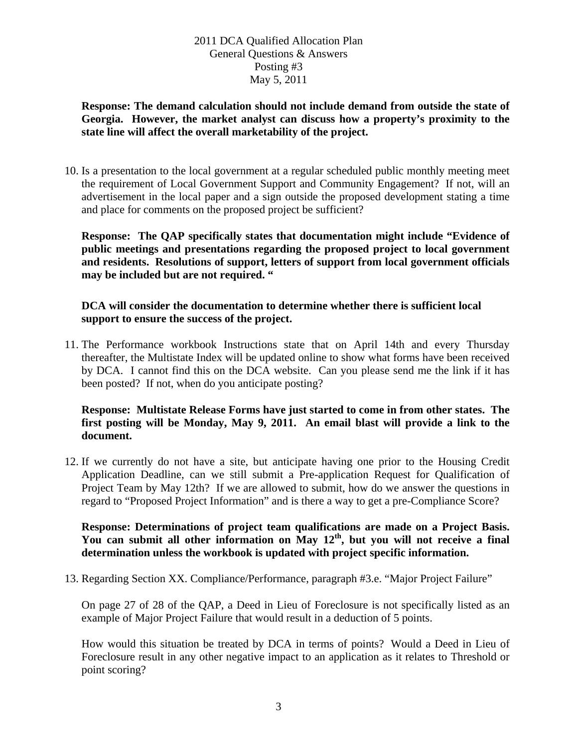**Response: The demand calculation should not include demand from outside the state of Georgia. However, the market analyst can discuss how a property's proximity to the state line will affect the overall marketability of the project.** 

10. Is a presentation to the local government at a regular scheduled public monthly meeting meet the requirement of Local Government Support and Community Engagement? If not, will an advertisement in the local paper and a sign outside the proposed development stating a time and place for comments on the proposed project be sufficient?

**Response: The QAP specifically states that documentation might include "Evidence of public meetings and presentations regarding the proposed project to local government and residents. Resolutions of support, letters of support from local government officials may be included but are not required. "** 

#### **DCA will consider the documentation to determine whether there is sufficient local support to ensure the success of the project.**

11. The Performance workbook Instructions state that on April 14th and every Thursday thereafter, the Multistate Index will be updated online to show what forms have been received by DCA. I cannot find this on the DCA website. Can you please send me the link if it has been posted? If not, when do you anticipate posting?

#### **Response: Multistate Release Forms have just started to come in from other states. The first posting will be Monday, May 9, 2011. An email blast will provide a link to the document.**

12. If we currently do not have a site, but anticipate having one prior to the Housing Credit Application Deadline, can we still submit a Pre-application Request for Qualification of Project Team by May 12th? If we are allowed to submit, how do we answer the questions in regard to "Proposed Project Information" and is there a way to get a pre-Compliance Score?

#### **Response: Determinations of project team qualifications are made on a Project Basis. You can submit all other information on May 12th, but you will not receive a final determination unless the workbook is updated with project specific information.**

13. Regarding Section XX. Compliance/Performance, paragraph #3.e. "Major Project Failure"

On page 27 of 28 of the QAP, a Deed in Lieu of Foreclosure is not specifically listed as an example of Major Project Failure that would result in a deduction of 5 points.

How would this situation be treated by DCA in terms of points? Would a Deed in Lieu of Foreclosure result in any other negative impact to an application as it relates to Threshold or point scoring?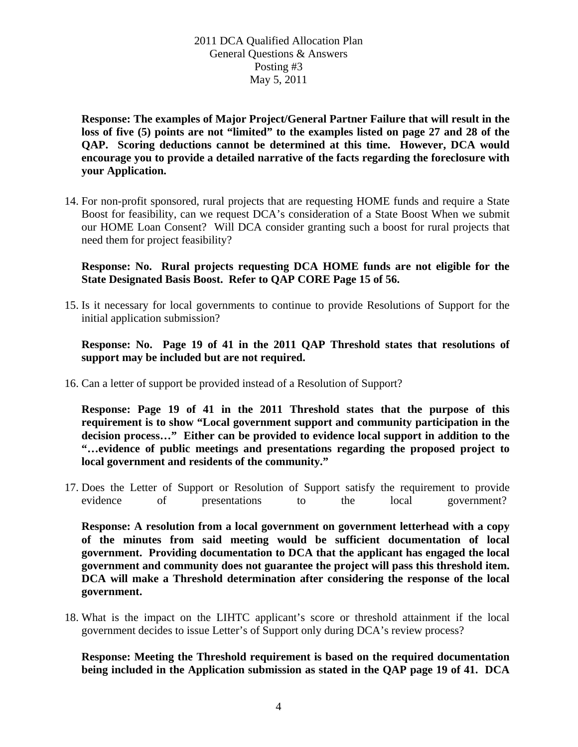**Response: The examples of Major Project/General Partner Failure that will result in the loss of five (5) points are not "limited" to the examples listed on page 27 and 28 of the QAP. Scoring deductions cannot be determined at this time. However, DCA would encourage you to provide a detailed narrative of the facts regarding the foreclosure with your Application.** 

14. For non-profit sponsored, rural projects that are requesting HOME funds and require a State Boost for feasibility, can we request DCA's consideration of a State Boost When we submit our HOME Loan Consent? Will DCA consider granting such a boost for rural projects that need them for project feasibility?

**Response: No. Rural projects requesting DCA HOME funds are not eligible for the State Designated Basis Boost. Refer to QAP CORE Page 15 of 56.** 

15. Is it necessary for local governments to continue to provide Resolutions of Support for the initial application submission?

**Response: No. Page 19 of 41 in the 2011 QAP Threshold states that resolutions of support may be included but are not required.** 

16. Can a letter of support be provided instead of a Resolution of Support?

**Response: Page 19 of 41 in the 2011 Threshold states that the purpose of this requirement is to show "Local government support and community participation in the decision process…" Either can be provided to evidence local support in addition to the "…evidence of public meetings and presentations regarding the proposed project to local government and residents of the community."** 

17. Does the Letter of Support or Resolution of Support satisfy the requirement to provide evidence of presentations to the local government?

**Response: A resolution from a local government on government letterhead with a copy of the minutes from said meeting would be sufficient documentation of local government. Providing documentation to DCA that the applicant has engaged the local government and community does not guarantee the project will pass this threshold item. DCA will make a Threshold determination after considering the response of the local government.**

18. What is the impact on the LIHTC applicant's score or threshold attainment if the local government decides to issue Letter's of Support only during DCA's review process?

**Response: Meeting the Threshold requirement is based on the required documentation being included in the Application submission as stated in the QAP page 19 of 41. DCA**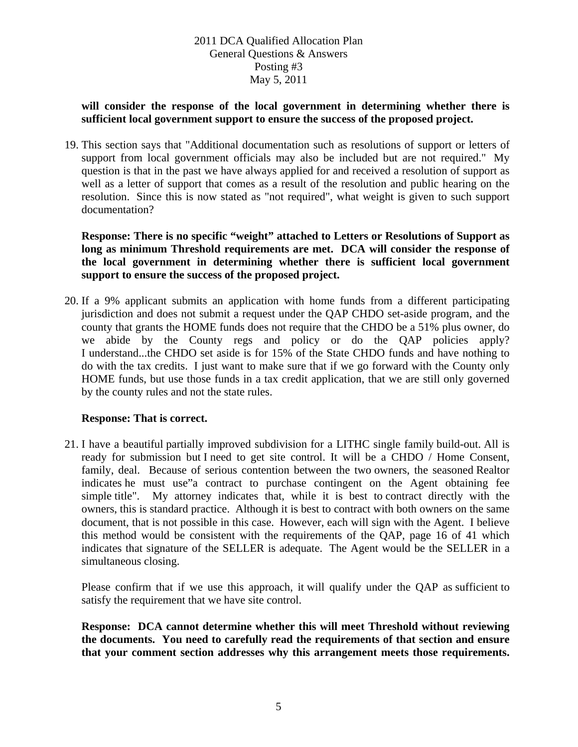#### **will consider the response of the local government in determining whether there is sufficient local government support to ensure the success of the proposed project.**

19. This section says that "Additional documentation such as resolutions of support or letters of support from local government officials may also be included but are not required." My question is that in the past we have always applied for and received a resolution of support as well as a letter of support that comes as a result of the resolution and public hearing on the resolution. Since this is now stated as "not required", what weight is given to such support documentation?

**Response: There is no specific "weight" attached to Letters or Resolutions of Support as long as minimum Threshold requirements are met. DCA will consider the response of the local government in determining whether there is sufficient local government support to ensure the success of the proposed project.** 

20. If a 9% applicant submits an application with home funds from a different participating jurisdiction and does not submit a request under the QAP CHDO set-aside program, and the county that grants the HOME funds does not require that the CHDO be a 51% plus owner, do we abide by the County regs and policy or do the QAP policies apply? I understand...the CHDO set aside is for 15% of the State CHDO funds and have nothing to do with the tax credits. I just want to make sure that if we go forward with the County only HOME funds, but use those funds in a tax credit application, that we are still only governed by the county rules and not the state rules.

# **Response: That is correct.**

21. I have a beautiful partially improved subdivision for a LITHC single family build-out. All is ready for submission but I need to get site control. It will be a CHDO / Home Consent, family, deal. Because of serious contention between the two owners, the seasoned Realtor indicates he must use"a contract to purchase contingent on the Agent obtaining fee simple title". My attorney indicates that, while it is best to contract directly with the owners, this is standard practice. Although it is best to contract with both owners on the same document, that is not possible in this case. However, each will sign with the Agent. I believe this method would be consistent with the requirements of the QAP, page 16 of 41 which indicates that signature of the SELLER is adequate. The Agent would be the SELLER in a simultaneous closing.

Please confirm that if we use this approach, it will qualify under the QAP as sufficient to satisfy the requirement that we have site control.

**Response: DCA cannot determine whether this will meet Threshold without reviewing the documents. You need to carefully read the requirements of that section and ensure that your comment section addresses why this arrangement meets those requirements.**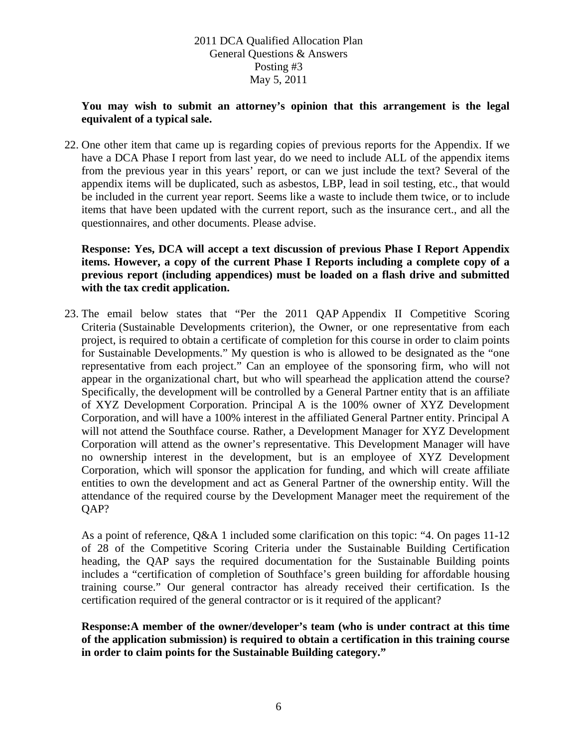#### **You may wish to submit an attorney's opinion that this arrangement is the legal equivalent of a typical sale.**

22. One other item that came up is regarding copies of previous reports for the Appendix. If we have a DCA Phase I report from last year, do we need to include ALL of the appendix items from the previous year in this years' report, or can we just include the text? Several of the appendix items will be duplicated, such as asbestos, LBP, lead in soil testing, etc., that would be included in the current year report. Seems like a waste to include them twice, or to include items that have been updated with the current report, such as the insurance cert., and all the questionnaires, and other documents. Please advise.

#### **Response: Yes, DCA will accept a text discussion of previous Phase I Report Appendix items. However, a copy of the current Phase I Reports including a complete copy of a previous report (including appendices) must be loaded on a flash drive and submitted with the tax credit application.**

23. The email below states that "Per the 2011 QAP Appendix II Competitive Scoring Criteria (Sustainable Developments criterion), the Owner, or one representative from each project, is required to obtain a certificate of completion for this course in order to claim points for Sustainable Developments." My question is who is allowed to be designated as the "one representative from each project." Can an employee of the sponsoring firm, who will not appear in the organizational chart, but who will spearhead the application attend the course? Specifically, the development will be controlled by a General Partner entity that is an affiliate of XYZ Development Corporation. Principal A is the 100% owner of XYZ Development Corporation, and will have a 100% interest in the affiliated General Partner entity. Principal A will not attend the Southface course. Rather, a Development Manager for XYZ Development Corporation will attend as the owner's representative. This Development Manager will have no ownership interest in the development, but is an employee of XYZ Development Corporation, which will sponsor the application for funding, and which will create affiliate entities to own the development and act as General Partner of the ownership entity. Will the attendance of the required course by the Development Manager meet the requirement of the QAP?

As a point of reference, Q&A 1 included some clarification on this topic: "4. On pages 11-12 of 28 of the Competitive Scoring Criteria under the Sustainable Building Certification heading, the QAP says the required documentation for the Sustainable Building points includes a "certification of completion of Southface's green building for affordable housing training course." Our general contractor has already received their certification. Is the certification required of the general contractor or is it required of the applicant?

#### **Response:A member of the owner/developer's team (who is under contract at this time of the application submission) is required to obtain a certification in this training course in order to claim points for the Sustainable Building category."**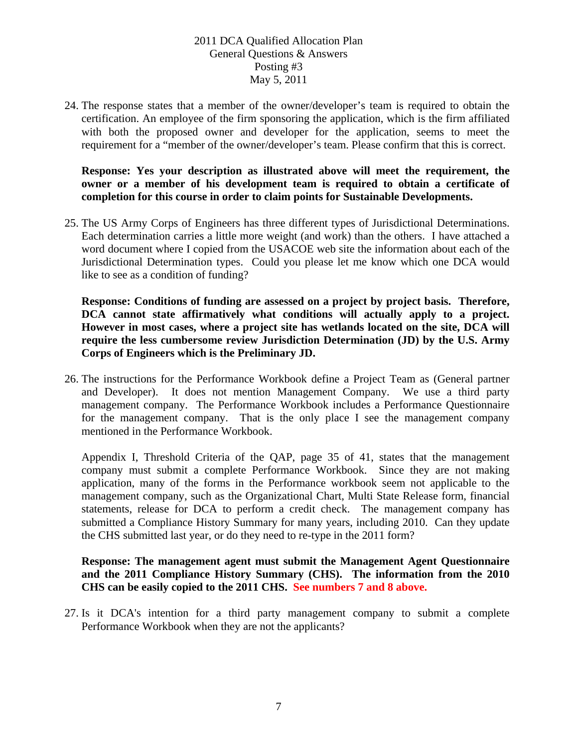24. The response states that a member of the owner/developer's team is required to obtain the certification. An employee of the firm sponsoring the application, which is the firm affiliated with both the proposed owner and developer for the application, seems to meet the requirement for a "member of the owner/developer's team. Please confirm that this is correct.

**Response: Yes your description as illustrated above will meet the requirement, the owner or a member of his development team is required to obtain a certificate of completion for this course in order to claim points for Sustainable Developments.** 

25. The US Army Corps of Engineers has three different types of Jurisdictional Determinations. Each determination carries a little more weight (and work) than the others. I have attached a word document where I copied from the USACOE web site the information about each of the Jurisdictional Determination types. Could you please let me know which one DCA would like to see as a condition of funding?

**Response: Conditions of funding are assessed on a project by project basis. Therefore, DCA cannot state affirmatively what conditions will actually apply to a project. However in most cases, where a project site has wetlands located on the site, DCA will require the less cumbersome review Jurisdiction Determination (JD) by the U.S. Army Corps of Engineers which is the Preliminary JD.** 

26. The instructions for the Performance Workbook define a Project Team as (General partner and Developer). It does not mention Management Company. We use a third party management company. The Performance Workbook includes a Performance Questionnaire for the management company. That is the only place I see the management company mentioned in the Performance Workbook.

Appendix I, Threshold Criteria of the QAP, page 35 of 41, states that the management company must submit a complete Performance Workbook. Since they are not making application, many of the forms in the Performance workbook seem not applicable to the management company, such as the Organizational Chart, Multi State Release form, financial statements, release for DCA to perform a credit check. The management company has submitted a Compliance History Summary for many years, including 2010. Can they update the CHS submitted last year, or do they need to re-type in the 2011 form?

#### **Response: The management agent must submit the Management Agent Questionnaire and the 2011 Compliance History Summary (CHS). The information from the 2010 CHS can be easily copied to the 2011 CHS. See numbers 7 and 8 above.**

27. Is it DCA's intention for a third party management company to submit a complete Performance Workbook when they are not the applicants?